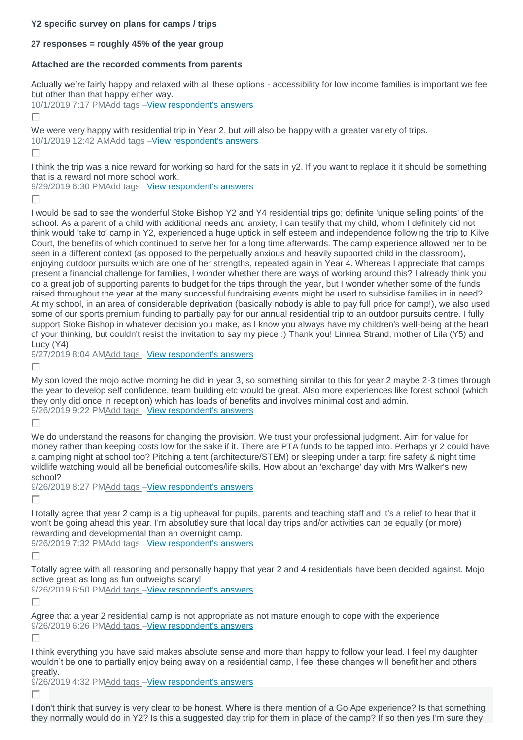### **Y2 specific survey on plans for camps / trips**

# **27 responses = roughly 45% of the year group**

# **Attached are the recorded comments from parents**

Actually we're fairly happy and relaxed with all these options - accessibility for low income families is important we feel but other than that happy either way.

10/1/2019 7:17 P[MAdd tags](https://www.surveymonkey.com/analyze/jhnR_2F3hrAWn0FXycG_2FiXcbhQd8QBD7pg84E8FUll_2BKw_3D?tab_clicked=1&show_dashboard_tour=true&source=dashboard_list) –[View respondent's answers](https://www.surveymonkey.com/analyze/jhnR_2F3hrAWn0FXycG_2FiXcbhQd8QBD7pg84E8FUll_2BKw_3D?tab_clicked=1&show_dashboard_tour=true&source=dashboard_list)

П

We were very happy with residential trip in Year 2, but will also be happy with a greater variety of trips. 10/1/2019 12:42 A[MAdd tags](https://www.surveymonkey.com/analyze/jhnR_2F3hrAWn0FXycG_2FiXcbhQd8QBD7pg84E8FUll_2BKw_3D?tab_clicked=1&show_dashboard_tour=true&source=dashboard_list) –[View respondent's answers](https://www.surveymonkey.com/analyze/jhnR_2F3hrAWn0FXycG_2FiXcbhQd8QBD7pg84E8FUll_2BKw_3D?tab_clicked=1&show_dashboard_tour=true&source=dashboard_list)

г

I think the trip was a nice reward for working so hard for the sats in y2. If you want to replace it it should be something that is a reward not more school work.

9/29/2019 6:30 P[MAdd tags](https://www.surveymonkey.com/analyze/jhnR_2F3hrAWn0FXycG_2FiXcbhQd8QBD7pg84E8FUll_2BKw_3D?tab_clicked=1&show_dashboard_tour=true&source=dashboard_list) -[View respondent's answers](https://www.surveymonkey.com/analyze/jhnR_2F3hrAWn0FXycG_2FiXcbhQd8QBD7pg84E8FUll_2BKw_3D?tab_clicked=1&show_dashboard_tour=true&source=dashboard_list)

г

I would be sad to see the wonderful Stoke Bishop Y2 and Y4 residential trips go; definite 'unique selling points' of the school. As a parent of a child with additional needs and anxiety, I can testify that my child, whom I definitely did not think would 'take to' camp in Y2, experienced a huge uptick in self esteem and independence following the trip to Kilve Court, the benefits of which continued to serve her for a long time afterwards. The camp experience allowed her to be seen in a different context (as opposed to the perpetually anxious and heavily supported child in the classroom), enjoying outdoor pursuits which are one of her strengths, repeated again in Year 4. Whereas I appreciate that camps present a financial challenge for families, I wonder whether there are ways of working around this? I already think you do a great job of supporting parents to budget for the trips through the year, but I wonder whether some of the funds raised throughout the year at the many successful fundraising events might be used to subsidise families in in need? At my school, in an area of considerable deprivation (basically nobody is able to pay full price for camp!), we also used some of our sports premium funding to partially pay for our annual residential trip to an outdoor pursuits centre. I fully support Stoke Bishop in whatever decision you make, as I know you always have my children's well-being at the heart of your thinking, but couldn't resist the invitation to say my piece :) Thank you! Linnea Strand, mother of Lila (Y5) and Lucy (Y4)

9/27/2019 8:04 A[MAdd tags](https://www.surveymonkey.com/analyze/jhnR_2F3hrAWn0FXycG_2FiXcbhQd8QBD7pg84E8FUll_2BKw_3D?tab_clicked=1&show_dashboard_tour=true&source=dashboard_list) –[View respondent's answers](https://www.surveymonkey.com/analyze/jhnR_2F3hrAWn0FXycG_2FiXcbhQd8QBD7pg84E8FUll_2BKw_3D?tab_clicked=1&show_dashboard_tour=true&source=dashboard_list)

г

My son loved the mojo active morning he did in year 3, so something similar to this for year 2 maybe 2-3 times through the year to develop self confidence, team building etc would be great. Also more experiences like forest school (which they only did once in reception) which has loads of benefits and involves minimal cost and admin. 9/26/2019 9:22 P[MAdd tags](https://www.surveymonkey.com/analyze/jhnR_2F3hrAWn0FXycG_2FiXcbhQd8QBD7pg84E8FUll_2BKw_3D?tab_clicked=1&show_dashboard_tour=true&source=dashboard_list) –[View respondent's answers](https://www.surveymonkey.com/analyze/jhnR_2F3hrAWn0FXycG_2FiXcbhQd8QBD7pg84E8FUll_2BKw_3D?tab_clicked=1&show_dashboard_tour=true&source=dashboard_list)

Г

We do understand the reasons for changing the provision. We trust your professional judgment. Aim for value for money rather than keeping costs low for the sake if it. There are PTA funds to be tapped into. Perhaps yr 2 could have a camping night at school too? Pitching a tent (architecture/STEM) or sleeping under a tarp; fire safety & night time wildlife watching would all be beneficial outcomes/life skills. How about an 'exchange' day with Mrs Walker's new school?

9/26/2019 8:27 P[MAdd tags](https://www.surveymonkey.com/analyze/jhnR_2F3hrAWn0FXycG_2FiXcbhQd8QBD7pg84E8FUll_2BKw_3D?tab_clicked=1&show_dashboard_tour=true&source=dashboard_list) –[View respondent's answers](https://www.surveymonkey.com/analyze/jhnR_2F3hrAWn0FXycG_2FiXcbhQd8QBD7pg84E8FUll_2BKw_3D?tab_clicked=1&show_dashboard_tour=true&source=dashboard_list)

П

I totally agree that year 2 camp is a big upheaval for pupils, parents and teaching staff and it's a relief to hear that it won't be going ahead this year. I'm absolutley sure that local day trips and/or activities can be equally (or more) rewarding and developmental than an overnight camp.

9/26/2019 7:32 P[MAdd tags](https://www.surveymonkey.com/analyze/jhnR_2F3hrAWn0FXycG_2FiXcbhQd8QBD7pg84E8FUll_2BKw_3D?tab_clicked=1&show_dashboard_tour=true&source=dashboard_list) –[View respondent's answers](https://www.surveymonkey.com/analyze/jhnR_2F3hrAWn0FXycG_2FiXcbhQd8QBD7pg84E8FUll_2BKw_3D?tab_clicked=1&show_dashboard_tour=true&source=dashboard_list)

П

Totally agree with all reasoning and personally happy that year 2 and 4 residentials have been decided against. Mojo active great as long as fun outweighs scary!

9/26/2019 6:50 P[MAdd tags](https://www.surveymonkey.com/analyze/jhnR_2F3hrAWn0FXycG_2FiXcbhQd8QBD7pg84E8FUll_2BKw_3D?tab_clicked=1&show_dashboard_tour=true&source=dashboard_list) –[View respondent's answers](https://www.surveymonkey.com/analyze/jhnR_2F3hrAWn0FXycG_2FiXcbhQd8QBD7pg84E8FUll_2BKw_3D?tab_clicked=1&show_dashboard_tour=true&source=dashboard_list)

г

Agree that a year 2 residential camp is not appropriate as not mature enough to cope with the experience 9/26/2019 6:26 P[MAdd tags](https://www.surveymonkey.com/analyze/jhnR_2F3hrAWn0FXycG_2FiXcbhQd8QBD7pg84E8FUll_2BKw_3D?tab_clicked=1&show_dashboard_tour=true&source=dashboard_list) –[View respondent's answers](https://www.surveymonkey.com/analyze/jhnR_2F3hrAWn0FXycG_2FiXcbhQd8QBD7pg84E8FUll_2BKw_3D?tab_clicked=1&show_dashboard_tour=true&source=dashboard_list)

П

I think everything you have said makes absolute sense and more than happy to follow your lead. I feel my daughter wouldn't be one to partially enjoy being away on a residential camp, I feel these changes will benefit her and others greatly.

9/26/2019 4:32 P[MAdd tags](https://www.surveymonkey.com/analyze/jhnR_2F3hrAWn0FXycG_2FiXcbhQd8QBD7pg84E8FUll_2BKw_3D?tab_clicked=1&show_dashboard_tour=true&source=dashboard_list) –[View respondent's answers](https://www.surveymonkey.com/analyze/jhnR_2F3hrAWn0FXycG_2FiXcbhQd8QBD7pg84E8FUll_2BKw_3D?tab_clicked=1&show_dashboard_tour=true&source=dashboard_list)

г

I don't think that survey is very clear to be honest. Where is there mention of a Go Ape experience? Is that something they normally would do in Y2? Is this a suggested day trip for them in place of the camp? If so then yes I'm sure they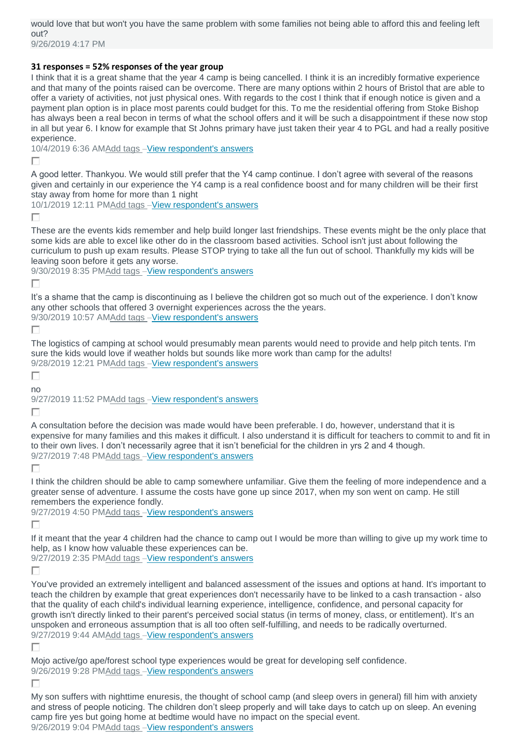would love that but won't you have the same problem with some families not being able to afford this and feeling left out? 9/26/2019 4:17 PM

### **31 responses = 52% responses of the year group**

I think that it is a great shame that the year 4 camp is being cancelled. I think it is an incredibly formative experience and that many of the points raised can be overcome. There are many options within 2 hours of Bristol that are able to offer a variety of activities, not just physical ones. With regards to the cost I think that if enough notice is given and a payment plan option is in place most parents could budget for this. To me the residential offering from Stoke Bishop has always been a real becon in terms of what the school offers and it will be such a disappointment if these now stop in all but year 6. I know for example that St Johns primary have just taken their year 4 to PGL and had a really positive experience.

10/4/2019 6:36 A[MAdd tags](https://www.surveymonkey.com/analyze/kCbKVa2boyrpYrVZgtufWGlSDwiZQE_2B5drbaECEuN94_3D?tab_clicked=1) –[View respondent's answers](https://www.surveymonkey.com/analyze/kCbKVa2boyrpYrVZgtufWGlSDwiZQE_2B5drbaECEuN94_3D?tab_clicked=1)

П

A good letter. Thankyou. We would still prefer that the Y4 camp continue. I don't agree with several of the reasons given and certainly in our experience the Y4 camp is a real confidence boost and for many children will be their first stay away from home for more than 1 night

10/1/2019 12:11 P[MAdd tags](https://www.surveymonkey.com/analyze/kCbKVa2boyrpYrVZgtufWGlSDwiZQE_2B5drbaECEuN94_3D?tab_clicked=1) –[View respondent's answers](https://www.surveymonkey.com/analyze/kCbKVa2boyrpYrVZgtufWGlSDwiZQE_2B5drbaECEuN94_3D?tab_clicked=1)

П

These are the events kids remember and help build longer last friendships. These events might be the only place that some kids are able to excel like other do in the classroom based activities. School isn't just about following the curriculum to push up exam results. Please STOP trying to take all the fun out of school. Thankfully my kids will be leaving soon before it gets any worse.

9/30/2019 8:35 P[MAdd tags](https://www.surveymonkey.com/analyze/kCbKVa2boyrpYrVZgtufWGlSDwiZQE_2B5drbaECEuN94_3D?tab_clicked=1) –[View respondent's answers](https://www.surveymonkey.com/analyze/kCbKVa2boyrpYrVZgtufWGlSDwiZQE_2B5drbaECEuN94_3D?tab_clicked=1)

П

It's a shame that the camp is discontinuing as I believe the children got so much out of the experience. I don't know any other schools that offered 3 overnight experiences across the the years. 9/30/2019 10:57 A[MAdd tags](https://www.surveymonkey.com/analyze/kCbKVa2boyrpYrVZgtufWGlSDwiZQE_2B5drbaECEuN94_3D?tab_clicked=1) –[View respondent's answers](https://www.surveymonkey.com/analyze/kCbKVa2boyrpYrVZgtufWGlSDwiZQE_2B5drbaECEuN94_3D?tab_clicked=1)

П

The logistics of camping at school would presumably mean parents would need to provide and help pitch tents. I'm sure the kids would love if weather holds but sounds like more work than camp for the adults! 9/28/2019 12:21 P[MAdd tags](https://www.surveymonkey.com/analyze/kCbKVa2boyrpYrVZgtufWGlSDwiZQE_2B5drbaECEuN94_3D?tab_clicked=1) –[View respondent's answers](https://www.surveymonkey.com/analyze/kCbKVa2boyrpYrVZgtufWGlSDwiZQE_2B5drbaECEuN94_3D?tab_clicked=1)

П

no

9/27/2019 11:52 P[MAdd tags](https://www.surveymonkey.com/analyze/kCbKVa2boyrpYrVZgtufWGlSDwiZQE_2B5drbaECEuN94_3D?tab_clicked=1) –[View respondent's answers](https://www.surveymonkey.com/analyze/kCbKVa2boyrpYrVZgtufWGlSDwiZQE_2B5drbaECEuN94_3D?tab_clicked=1)

П

A consultation before the decision was made would have been preferable. I do, however, understand that it is expensive for many families and this makes it difficult. I also understand it is difficult for teachers to commit to and fit in to their own lives. I don't necessarily agree that it isn't beneficial for the children in yrs 2 and 4 though. 9/27/2019 7:48 P[MAdd tags](https://www.surveymonkey.com/analyze/kCbKVa2boyrpYrVZgtufWGlSDwiZQE_2B5drbaECEuN94_3D?tab_clicked=1) –[View respondent's answers](https://www.surveymonkey.com/analyze/kCbKVa2boyrpYrVZgtufWGlSDwiZQE_2B5drbaECEuN94_3D?tab_clicked=1)

г

I think the children should be able to camp somewhere unfamiliar. Give them the feeling of more independence and a greater sense of adventure. I assume the costs have gone up since 2017, when my son went on camp. He still remembers the experience fondly.

9/27/2019 4:50 P[MAdd tags](https://www.surveymonkey.com/analyze/kCbKVa2boyrpYrVZgtufWGlSDwiZQE_2B5drbaECEuN94_3D?tab_clicked=1) -[View respondent's answers](https://www.surveymonkey.com/analyze/kCbKVa2boyrpYrVZgtufWGlSDwiZQE_2B5drbaECEuN94_3D?tab_clicked=1)

Г

If it meant that the year 4 children had the chance to camp out I would be more than willing to give up my work time to help, as I know how valuable these experiences can be.

9/27/2019 2:35 P[MAdd tags](https://www.surveymonkey.com/analyze/kCbKVa2boyrpYrVZgtufWGlSDwiZQE_2B5drbaECEuN94_3D?tab_clicked=1) –[View respondent's answers](https://www.surveymonkey.com/analyze/kCbKVa2boyrpYrVZgtufWGlSDwiZQE_2B5drbaECEuN94_3D?tab_clicked=1)

П

You've provided an extremely intelligent and balanced assessment of the issues and options at hand. It's important to teach the children by example that great experiences don't necessarily have to be linked to a cash transaction - also that the quality of each child's individual learning experience, intelligence, confidence, and personal capacity for growth isn't directly linked to their parent's perceived social status (in terms of money, class, or entitlement). It's an unspoken and erroneous assumption that is all too often self-fulfilling, and needs to be radically overturned. 9/27/2019 9:44 A[MAdd](https://www.surveymonkey.com/analyze/kCbKVa2boyrpYrVZgtufWGlSDwiZQE_2B5drbaECEuN94_3D?tab_clicked=1) tags –[View respondent's answers](https://www.surveymonkey.com/analyze/kCbKVa2boyrpYrVZgtufWGlSDwiZQE_2B5drbaECEuN94_3D?tab_clicked=1)

г

Mojo active/go ape/forest school type experiences would be great for developing self confidence. 9/26/2019 9:28 P[MAdd tags](https://www.surveymonkey.com/analyze/kCbKVa2boyrpYrVZgtufWGlSDwiZQE_2B5drbaECEuN94_3D?tab_clicked=1) –[View respondent's answers](https://www.surveymonkey.com/analyze/kCbKVa2boyrpYrVZgtufWGlSDwiZQE_2B5drbaECEuN94_3D?tab_clicked=1)

г

My son suffers with nighttime enuresis, the thought of school camp (and sleep overs in general) fill him with anxiety and stress of people noticing. The children don't sleep properly and will take days to catch up on sleep. An evening camp fire yes but going home at bedtime would have no impact on the special event. 9/26/2019 9:04 P[MAdd tags](https://www.surveymonkey.com/analyze/kCbKVa2boyrpYrVZgtufWGlSDwiZQE_2B5drbaECEuN94_3D?tab_clicked=1) –[View respondent's answers](https://www.surveymonkey.com/analyze/kCbKVa2boyrpYrVZgtufWGlSDwiZQE_2B5drbaECEuN94_3D?tab_clicked=1)